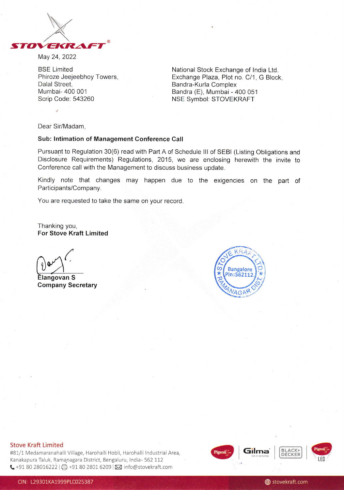

May 24,2022

BSE Limited Phiroze Jeejeebhoy Towers, Dalal Street. Mumbai- 400 001 Scrip Code: 543260

National Stock Exchange of lndia Ltd. Exchange Plaza, Plot no. C/1, G Block, Bandra-Kurla Complex Bandra (E), Mumbai - 400 051 NSE Symbol: STOVEKRAFT

Dear Sir/Madam,

#### Sub: lntimation of Management Conference Gall

Pursuant to Regulation 30(6) read with Part A of Schedule lll of SEBI (Listing Obligations and Disclosure Requirements) Regulations, 2015, we are enclosing herewith the invite to Conference call with the Management to discuss business update.

Kindly note that changes may happen due to the exigencies on the part of Participants/Company.

You are requested to take the same on your record.

Thanking you, For Stove Kraft Limited

(

Elangovan S Company Secretary



#### Stove Kraft Limited

#81/1 Medamaranahalli Village, Harohalli Hobli, Harohalli Industrial Area, Kanakapura Taluk, Ramanagara District, Bengaluru, India- 562 112 ↓+91 80 28016222 | 日 +91 80 2801 6209 | ⊠ info@stovekraft.com